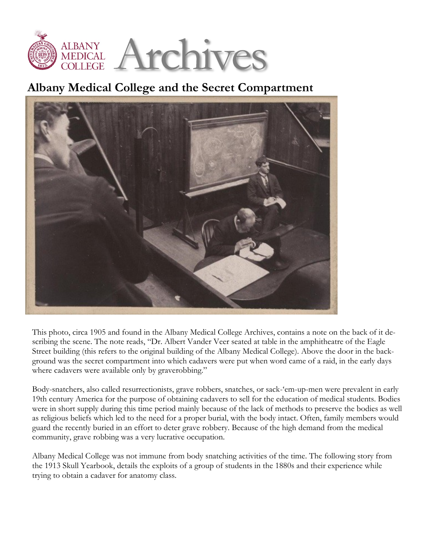

## **Albany Medical College and the Secret Compartment**



This photo, circa 1905 and found in the Albany Medical College Archives, contains a note on the back of it describing the scene. The note reads, "Dr. Albert Vander Veer seated at table in the amphitheatre of the Eagle Street building (this refers to the original building of the Albany Medical College). Above the door in the background was the secret compartment into which cadavers were put when word came of a raid, in the early days where cadavers were available only by graverobbing."

Body-snatchers, also called resurrectionists, grave robbers, snatches, or sack-'em-up-men were prevalent in early 19th century America for the purpose of obtaining cadavers to sell for the education of medical students. Bodies were in short supply during this time period mainly because of the lack of methods to preserve the bodies as well as religious beliefs which led to the need for a proper burial, with the body intact. Often, family members would guard the recently buried in an effort to deter grave robbery. Because of the high demand from the medical community, grave robbing was a very lucrative occupation.

Albany Medical College was not immune from body snatching activities of the time. The following story from the 1913 Skull Yearbook, details the exploits of a group of students in the 1880s and their experience while trying to obtain a cadaver for anatomy class.